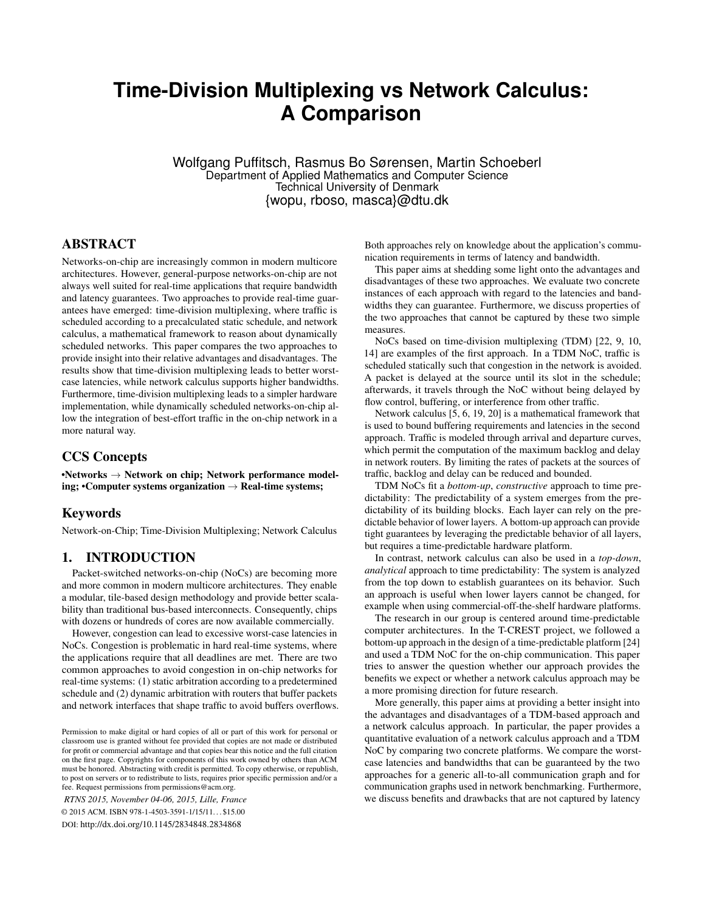# **Time-Division Multiplexing vs Network Calculus: A Comparison**

Wolfgang Puffitsch, Rasmus Bo Sørensen, Martin Schoeberl Department of Applied Mathematics and Computer Science Technical University of Denmark {wopu, rboso, masca}@dtu.dk

## ABSTRACT

Networks-on-chip are increasingly common in modern multicore architectures. However, general-purpose networks-on-chip are not always well suited for real-time applications that require bandwidth and latency guarantees. Two approaches to provide real-time guarantees have emerged: time-division multiplexing, where traffic is scheduled according to a precalculated static schedule, and network calculus, a mathematical framework to reason about dynamically scheduled networks. This paper compares the two approaches to provide insight into their relative advantages and disadvantages. The results show that time-division multiplexing leads to better worstcase latencies, while network calculus supports higher bandwidths. Furthermore, time-division multiplexing leads to a simpler hardware implementation, while dynamically scheduled networks-on-chip allow the integration of best-effort traffic in the on-chip network in a more natural way.

## CCS Concepts

•Networks → Network on chip; Network performance modeling; •Computer systems organization → Real-time systems;

## Keywords

Network-on-Chip; Time-Division Multiplexing; Network Calculus

# 1. INTRODUCTION

Packet-switched networks-on-chip (NoCs) are becoming more and more common in modern multicore architectures. They enable a modular, tile-based design methodology and provide better scalability than traditional bus-based interconnects. Consequently, chips with dozens or hundreds of cores are now available commercially.

However, congestion can lead to excessive worst-case latencies in NoCs. Congestion is problematic in hard real-time systems, where the applications require that all deadlines are met. There are two common approaches to avoid congestion in on-chip networks for real-time systems: (1) static arbitration according to a predetermined schedule and (2) dynamic arbitration with routers that buffer packets and network interfaces that shape traffic to avoid buffers overflows.

*RTNS 2015, November 04-06, 2015, Lille, France* © 2015 ACM. ISBN 978-1-4503-3591-1/15/11. . . \$15.00 DOI: http://dx.doi.org/10.1145/2834848.2834868

Both approaches rely on knowledge about the application's communication requirements in terms of latency and bandwidth.

This paper aims at shedding some light onto the advantages and disadvantages of these two approaches. We evaluate two concrete instances of each approach with regard to the latencies and bandwidths they can guarantee. Furthermore, we discuss properties of the two approaches that cannot be captured by these two simple measures.

NoCs based on time-division multiplexing (TDM) [22, 9, 10, 14] are examples of the first approach. In a TDM NoC, traffic is scheduled statically such that congestion in the network is avoided. A packet is delayed at the source until its slot in the schedule; afterwards, it travels through the NoC without being delayed by flow control, buffering, or interference from other traffic.

Network calculus [5, 6, 19, 20] is a mathematical framework that is used to bound buffering requirements and latencies in the second approach. Traffic is modeled through arrival and departure curves, which permit the computation of the maximum backlog and delay in network routers. By limiting the rates of packets at the sources of traffic, backlog and delay can be reduced and bounded.

TDM NoCs fit a *bottom-up*, *constructive* approach to time predictability: The predictability of a system emerges from the predictability of its building blocks. Each layer can rely on the predictable behavior of lower layers. A bottom-up approach can provide tight guarantees by leveraging the predictable behavior of all layers, but requires a time-predictable hardware platform.

In contrast, network calculus can also be used in a *top-down*, *analytical* approach to time predictability: The system is analyzed from the top down to establish guarantees on its behavior. Such an approach is useful when lower layers cannot be changed, for example when using commercial-off-the-shelf hardware platforms.

The research in our group is centered around time-predictable computer architectures. In the T-CREST project, we followed a bottom-up approach in the design of a time-predictable platform [24] and used a TDM NoC for the on-chip communication. This paper tries to answer the question whether our approach provides the benefits we expect or whether a network calculus approach may be a more promising direction for future research.

More generally, this paper aims at providing a better insight into the advantages and disadvantages of a TDM-based approach and a network calculus approach. In particular, the paper provides a quantitative evaluation of a network calculus approach and a TDM NoC by comparing two concrete platforms. We compare the worstcase latencies and bandwidths that can be guaranteed by the two approaches for a generic all-to-all communication graph and for communication graphs used in network benchmarking. Furthermore, we discuss benefits and drawbacks that are not captured by latency

Permission to make digital or hard copies of all or part of this work for personal or classroom use is granted without fee provided that copies are not made or distributed for profit or commercial advantage and that copies bear this notice and the full citation on the first page. Copyrights for components of this work owned by others than ACM must be honored. Abstracting with credit is permitted. To copy otherwise, or republish, to post on servers or to redistribute to lists, requires prior specific permission and/or a fee. Request permissions from permissions@acm.org.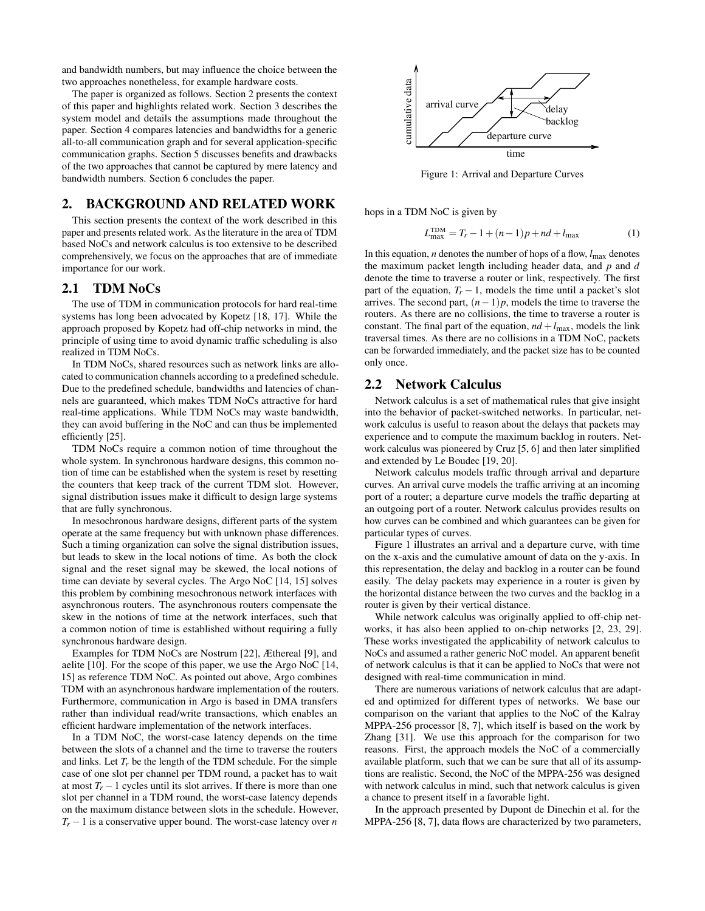and bandwidth numbers, but may influence the choice between the two approaches nonetheless, for example hardware costs.

The paper is organized as follows. Section 2 presents the context of this paper and highlights related work. Section 3 describes the system model and details the assumptions made throughout the paper. Section 4 compares latencies and bandwidths for a generic all-to-all communication graph and for several application-specific communication graphs. Section 5 discusses benefits and drawbacks of the two approaches that cannot be captured by mere latency and bandwidth numbers. Section 6 concludes the paper.

# 2. BACKGROUND AND RELATED WORK

This section presents the context of the work described in this paper and presents related work. As the literature in the area of TDM based NoCs and network calculus is too extensive to be described comprehensively, we focus on the approaches that are of immediate importance for our work.

## 2.1 TDM NoCs

The use of TDM in communication protocols for hard real-time systems has long been advocated by Kopetz [18, 17]. While the approach proposed by Kopetz had off-chip networks in mind, the principle of using time to avoid dynamic traffic scheduling is also realized in TDM NoCs.

In TDM NoCs, shared resources such as network links are allocated to communication channels according to a predefined schedule. Due to the predefined schedule, bandwidths and latencies of channels are guaranteed, which makes TDM NoCs attractive for hard real-time applications. While TDM NoCs may waste bandwidth, they can avoid buffering in the NoC and can thus be implemented efficiently [25].

TDM NoCs require a common notion of time throughout the whole system. In synchronous hardware designs, this common notion of time can be established when the system is reset by resetting the counters that keep track of the current TDM slot. However, signal distribution issues make it difficult to design large systems that are fully synchronous.

In mesochronous hardware designs, different parts of the system operate at the same frequency but with unknown phase differences. Such a timing organization can solve the signal distribution issues, but leads to skew in the local notions of time. As both the clock signal and the reset signal may be skewed, the local notions of time can deviate by several cycles. The Argo NoC [14, 15] solves this problem by combining mesochronous network interfaces with asynchronous routers. The asynchronous routers compensate the skew in the notions of time at the network interfaces, such that a common notion of time is established without requiring a fully synchronous hardware design.

Examples for TDM NoCs are Nostrum [22], Æthereal [9], and aelite [10]. For the scope of this paper, we use the Argo NoC [14, 15] as reference TDM NoC. As pointed out above, Argo combines TDM with an asynchronous hardware implementation of the routers. Furthermore, communication in Argo is based in DMA transfers rather than individual read/write transactions, which enables an efficient hardware implementation of the network interfaces.

In a TDM NoC, the worst-case latency depends on the time between the slots of a channel and the time to traverse the routers and links. Let  $T_r$  be the length of the TDM schedule. For the simple case of one slot per channel per TDM round, a packet has to wait at most  $T_r - 1$  cycles until its slot arrives. If there is more than one slot per channel in a TDM round, the worst-case latency depends on the maximum distance between slots in the schedule. However,  $T_r - 1$  is a conservative upper bound. The worst-case latency over *n* 



Figure 1: Arrival and Departure Curves

hops in a TDM NoC is given by

$$
L_{\text{max}}^{\text{TDM}} = T_r - 1 + (n - 1)p + nd + l_{\text{max}} \tag{1}
$$

In this equation, *n* denotes the number of hops of a flow,  $l_{\text{max}}$  denotes the maximum packet length including header data, and *p* and *d* denote the time to traverse a router or link, respectively. The first part of the equation,  $T_r - 1$ , models the time until a packet's slot arrives. The second part,  $(n-1)p$ , models the time to traverse the routers. As there are no collisions, the time to traverse a router is constant. The final part of the equation,  $nd + l_{\text{max}}$ , models the link traversal times. As there are no collisions in a TDM NoC, packets can be forwarded immediately, and the packet size has to be counted only once.

## 2.2 Network Calculus

Network calculus is a set of mathematical rules that give insight into the behavior of packet-switched networks. In particular, network calculus is useful to reason about the delays that packets may experience and to compute the maximum backlog in routers. Network calculus was pioneered by Cruz [5, 6] and then later simplified and extended by Le Boudec [19, 20].

Network calculus models traffic through arrival and departure curves. An arrival curve models the traffic arriving at an incoming port of a router; a departure curve models the traffic departing at an outgoing port of a router. Network calculus provides results on how curves can be combined and which guarantees can be given for particular types of curves.

Figure 1 illustrates an arrival and a departure curve, with time on the x-axis and the cumulative amount of data on the y-axis. In this representation, the delay and backlog in a router can be found easily. The delay packets may experience in a router is given by the horizontal distance between the two curves and the backlog in a router is given by their vertical distance.

While network calculus was originally applied to off-chip networks, it has also been applied to on-chip networks [2, 23, 29]. These works investigated the applicability of network calculus to NoCs and assumed a rather generic NoC model. An apparent benefit of network calculus is that it can be applied to NoCs that were not designed with real-time communication in mind.

There are numerous variations of network calculus that are adapted and optimized for different types of networks. We base our comparison on the variant that applies to the NoC of the Kalray MPPA-256 processor [8, 7], which itself is based on the work by Zhang [31]. We use this approach for the comparison for two reasons. First, the approach models the NoC of a commercially available platform, such that we can be sure that all of its assumptions are realistic. Second, the NoC of the MPPA-256 was designed with network calculus in mind, such that network calculus is given a chance to present itself in a favorable light.

In the approach presented by Dupont de Dinechin et al. for the MPPA-256 [8, 7], data flows are characterized by two parameters,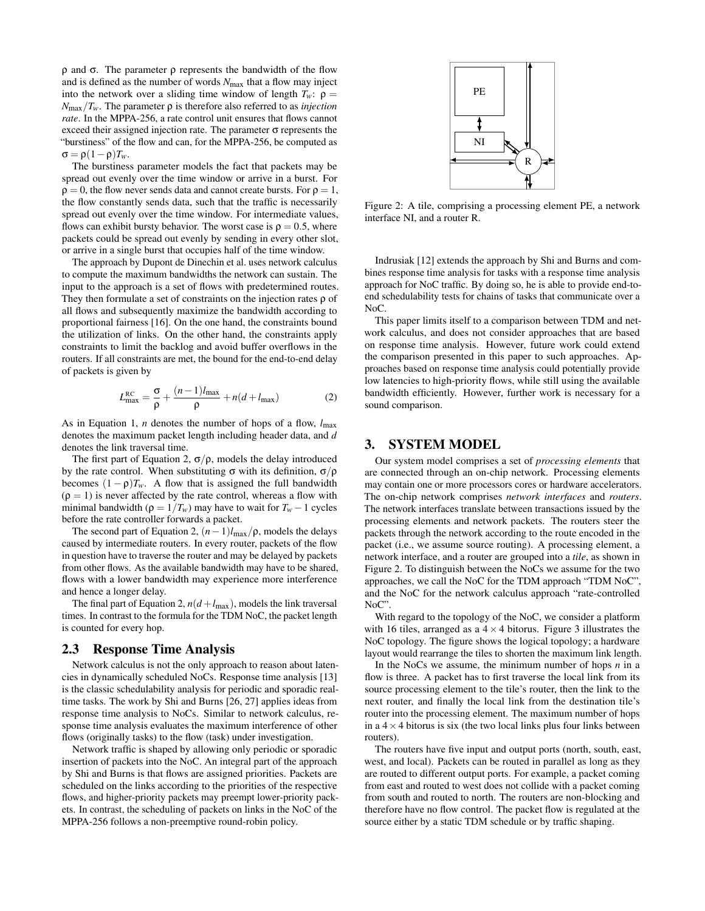$ρ$  and  $σ$ . The parameter  $ρ$  represents the bandwidth of the flow and is defined as the number of words *N*max that a flow may inject into the network over a sliding time window of length  $T_w$ :  $\rho =$ *N*max/*Tw*. The parameter ρ is therefore also referred to as *injection rate*. In the MPPA-256, a rate control unit ensures that flows cannot exceed their assigned injection rate. The parameter  $\sigma$  represents the "burstiness" of the flow and can, for the MPPA-256, be computed as  $\sigma = \rho(1-\rho)T_w$ .

The burstiness parameter models the fact that packets may be spread out evenly over the time window or arrive in a burst. For  $\rho = 0$ , the flow never sends data and cannot create bursts. For  $\rho = 1$ , the flow constantly sends data, such that the traffic is necessarily spread out evenly over the time window. For intermediate values, flows can exhibit bursty behavior. The worst case is  $\rho = 0.5$ , where packets could be spread out evenly by sending in every other slot, or arrive in a single burst that occupies half of the time window.

The approach by Dupont de Dinechin et al. uses network calculus to compute the maximum bandwidths the network can sustain. The input to the approach is a set of flows with predetermined routes. They then formulate a set of constraints on the injection rates  $\rho$  of all flows and subsequently maximize the bandwidth according to proportional fairness [16]. On the one hand, the constraints bound the utilization of links. On the other hand, the constraints apply constraints to limit the backlog and avoid buffer overflows in the routers. If all constraints are met, the bound for the end-to-end delay of packets is given by

$$
L_{\text{max}}^{\text{RC}} = \frac{\sigma}{\rho} + \frac{(n-1)l_{\text{max}}}{\rho} + n(d + l_{\text{max}})
$$
 (2)

As in Equation 1, *n* denotes the number of hops of a flow,  $l_{\text{max}}$ denotes the maximum packet length including header data, and *d* denotes the link traversal time.

The first part of Equation 2,  $\sigma/\rho$ , models the delay introduced by the rate control. When substituting  $\sigma$  with its definition,  $\sigma/\rho$ becomes  $(1 - \rho)T_w$ . A flow that is assigned the full bandwidth  $(p = 1)$  is never affected by the rate control, whereas a flow with minimal bandwidth ( $\rho = 1/T_w$ ) may have to wait for  $T_w - 1$  cycles before the rate controller forwards a packet.

The second part of Equation 2,  $(n-1)l_{\text{max}}/\rho$ , models the delays caused by intermediate routers. In every router, packets of the flow in question have to traverse the router and may be delayed by packets from other flows. As the available bandwidth may have to be shared, flows with a lower bandwidth may experience more interference and hence a longer delay.

The final part of Equation 2,  $n(d + l_{\text{max}})$ , models the link traversal times. In contrast to the formula for the TDM NoC, the packet length is counted for every hop.

#### 2.3 Response Time Analysis

Network calculus is not the only approach to reason about latencies in dynamically scheduled NoCs. Response time analysis [13] is the classic schedulability analysis for periodic and sporadic realtime tasks. The work by Shi and Burns [26, 27] applies ideas from response time analysis to NoCs. Similar to network calculus, response time analysis evaluates the maximum interference of other flows (originally tasks) to the flow (task) under investigation.

Network traffic is shaped by allowing only periodic or sporadic insertion of packets into the NoC. An integral part of the approach by Shi and Burns is that flows are assigned priorities. Packets are scheduled on the links according to the priorities of the respective flows, and higher-priority packets may preempt lower-priority packets. In contrast, the scheduling of packets on links in the NoC of the MPPA-256 follows a non-preemptive round-robin policy.



Figure 2: A tile, comprising a processing element PE, a network interface NI, and a router R.

Indrusiak [12] extends the approach by Shi and Burns and combines response time analysis for tasks with a response time analysis approach for NoC traffic. By doing so, he is able to provide end-toend schedulability tests for chains of tasks that communicate over a NoC.

This paper limits itself to a comparison between TDM and network calculus, and does not consider approaches that are based on response time analysis. However, future work could extend the comparison presented in this paper to such approaches. Approaches based on response time analysis could potentially provide low latencies to high-priority flows, while still using the available bandwidth efficiently. However, further work is necessary for a sound comparison.

## 3. SYSTEM MODEL

Our system model comprises a set of *processing elements* that are connected through an on-chip network. Processing elements may contain one or more processors cores or hardware accelerators. The on-chip network comprises *network interfaces* and *routers*. The network interfaces translate between transactions issued by the processing elements and network packets. The routers steer the packets through the network according to the route encoded in the packet (i.e., we assume source routing). A processing element, a network interface, and a router are grouped into a *tile*, as shown in Figure 2. To distinguish between the NoCs we assume for the two approaches, we call the NoC for the TDM approach "TDM NoC", and the NoC for the network calculus approach "rate-controlled NoC".

With regard to the topology of the NoC, we consider a platform with 16 tiles, arranged as a  $4 \times 4$  bitorus. Figure 3 illustrates the NoC topology. The figure shows the logical topology; a hardware layout would rearrange the tiles to shorten the maximum link length.

In the NoCs we assume, the minimum number of hops *n* in a flow is three. A packet has to first traverse the local link from its source processing element to the tile's router, then the link to the next router, and finally the local link from the destination tile's router into the processing element. The maximum number of hops in a  $4 \times 4$  bitorus is six (the two local links plus four links between routers).

The routers have five input and output ports (north, south, east, west, and local). Packets can be routed in parallel as long as they are routed to different output ports. For example, a packet coming from east and routed to west does not collide with a packet coming from south and routed to north. The routers are non-blocking and therefore have no flow control. The packet flow is regulated at the source either by a static TDM schedule or by traffic shaping.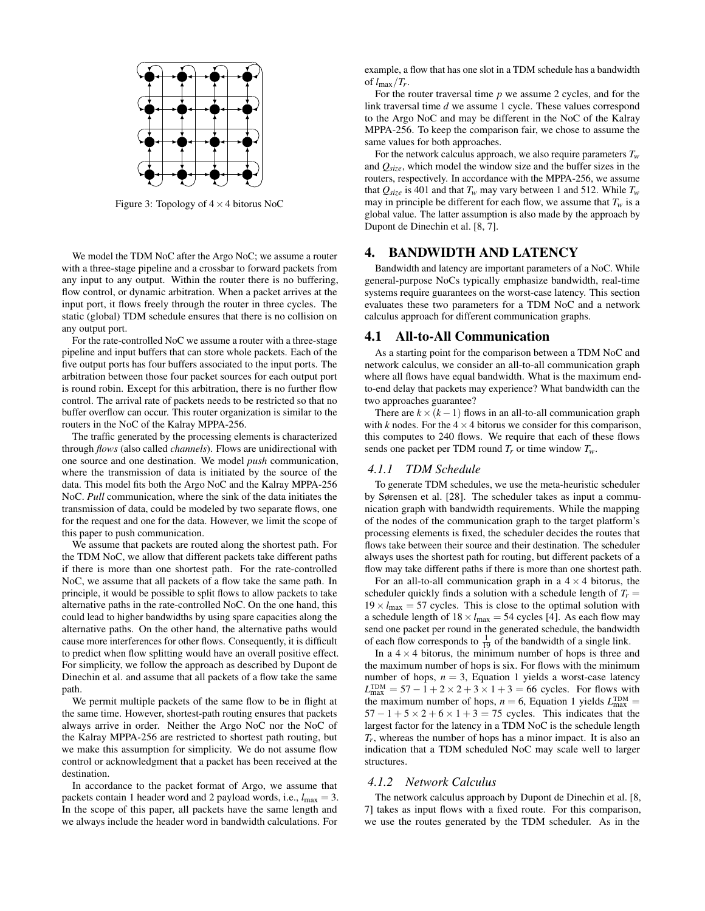

Figure 3: Topology of  $4 \times 4$  bitorus NoC

We model the TDM NoC after the Argo NoC; we assume a router with a three-stage pipeline and a crossbar to forward packets from any input to any output. Within the router there is no buffering, flow control, or dynamic arbitration. When a packet arrives at the input port, it flows freely through the router in three cycles. The static (global) TDM schedule ensures that there is no collision on any output port.

For the rate-controlled NoC we assume a router with a three-stage pipeline and input buffers that can store whole packets. Each of the five output ports has four buffers associated to the input ports. The arbitration between those four packet sources for each output port is round robin. Except for this arbitration, there is no further flow control. The arrival rate of packets needs to be restricted so that no buffer overflow can occur. This router organization is similar to the routers in the NoC of the Kalray MPPA-256.

The traffic generated by the processing elements is characterized through *flows* (also called *channels*). Flows are unidirectional with one source and one destination. We model *push* communication, where the transmission of data is initiated by the source of the data. This model fits both the Argo NoC and the Kalray MPPA-256 NoC. *Pull* communication, where the sink of the data initiates the transmission of data, could be modeled by two separate flows, one for the request and one for the data. However, we limit the scope of this paper to push communication.

We assume that packets are routed along the shortest path. For the TDM NoC, we allow that different packets take different paths if there is more than one shortest path. For the rate-controlled NoC, we assume that all packets of a flow take the same path. In principle, it would be possible to split flows to allow packets to take alternative paths in the rate-controlled NoC. On the one hand, this could lead to higher bandwidths by using spare capacities along the alternative paths. On the other hand, the alternative paths would cause more interferences for other flows. Consequently, it is difficult to predict when flow splitting would have an overall positive effect. For simplicity, we follow the approach as described by Dupont de Dinechin et al. and assume that all packets of a flow take the same path.

We permit multiple packets of the same flow to be in flight at the same time. However, shortest-path routing ensures that packets always arrive in order. Neither the Argo NoC nor the NoC of the Kalray MPPA-256 are restricted to shortest path routing, but we make this assumption for simplicity. We do not assume flow control or acknowledgment that a packet has been received at the destination.

In accordance to the packet format of Argo, we assume that packets contain 1 header word and 2 payload words, i.e., *l*max = 3. In the scope of this paper, all packets have the same length and we always include the header word in bandwidth calculations. For

example, a flow that has one slot in a TDM schedule has a bandwidth of  $l_{\text{max}}/T_r$ .

For the router traversal time *p* we assume 2 cycles, and for the link traversal time *d* we assume 1 cycle. These values correspond to the Argo NoC and may be different in the NoC of the Kalray MPPA-256. To keep the comparison fair, we chose to assume the same values for both approaches.

For the network calculus approach, we also require parameters  $T_w$ and *Qsize*, which model the window size and the buffer sizes in the routers, respectively. In accordance with the MPPA-256, we assume that  $Q_{size}$  is 401 and that  $T_w$  may vary between 1 and 512. While  $T_w$ may in principle be different for each flow, we assume that  $T_w$  is a global value. The latter assumption is also made by the approach by Dupont de Dinechin et al. [8, 7].

## 4. BANDWIDTH AND LATENCY

Bandwidth and latency are important parameters of a NoC. While general-purpose NoCs typically emphasize bandwidth, real-time systems require guarantees on the worst-case latency. This section evaluates these two parameters for a TDM NoC and a network calculus approach for different communication graphs.

#### 4.1 All-to-All Communication

As a starting point for the comparison between a TDM NoC and network calculus, we consider an all-to-all communication graph where all flows have equal bandwidth. What is the maximum endto-end delay that packets may experience? What bandwidth can the two approaches guarantee?

There are  $k \times (k-1)$  flows in an all-to-all communication graph with  $k$  nodes. For the  $4 \times 4$  bitorus we consider for this comparison, this computes to 240 flows. We require that each of these flows sends one packet per TDM round  $T_r$  or time window  $T_w$ .

#### *4.1.1 TDM Schedule*

To generate TDM schedules, we use the meta-heuristic scheduler by Sørensen et al. [28]. The scheduler takes as input a communication graph with bandwidth requirements. While the mapping of the nodes of the communication graph to the target platform's processing elements is fixed, the scheduler decides the routes that flows take between their source and their destination. The scheduler always uses the shortest path for routing, but different packets of a flow may take different paths if there is more than one shortest path.

For an all-to-all communication graph in a  $4 \times 4$  bitorus, the scheduler quickly finds a solution with a schedule length of  $T_r =$  $19 \times l_{\text{max}} = 57$  cycles. This is close to the optimal solution with a schedule length of  $18 \times l_{\text{max}} = 54$  cycles [4]. As each flow may send one packet per round in the generated schedule, the bandwidth of each flow corresponds to  $\frac{1}{19}$  of the bandwidth of a single link.

In a  $4 \times 4$  bitorus, the minimum number of hops is three and the maximum number of hops is six. For flows with the minimum number of hops,  $n = 3$ , Equation 1 yields a worst-case latency  $L_{\text{max}}^{\text{TDM}} = 57 - 1 + 2 \times 2 + 3 \times 1 + 3 = 66$  cycles. For flows with the maximum number of hops,  $n = 6$ , Equation 1 yields  $L_{\text{max}}^{\text{TDM}} =$  $57 - 1 + 5 \times 2 + 6 \times 1 + 3 = 75$  cycles. This indicates that the largest factor for the latency in a TDM NoC is the schedule length *Tr*, whereas the number of hops has a minor impact. It is also an indication that a TDM scheduled NoC may scale well to larger structures.

#### *4.1.2 Network Calculus*

The network calculus approach by Dupont de Dinechin et al. [8, 7] takes as input flows with a fixed route. For this comparison, we use the routes generated by the TDM scheduler. As in the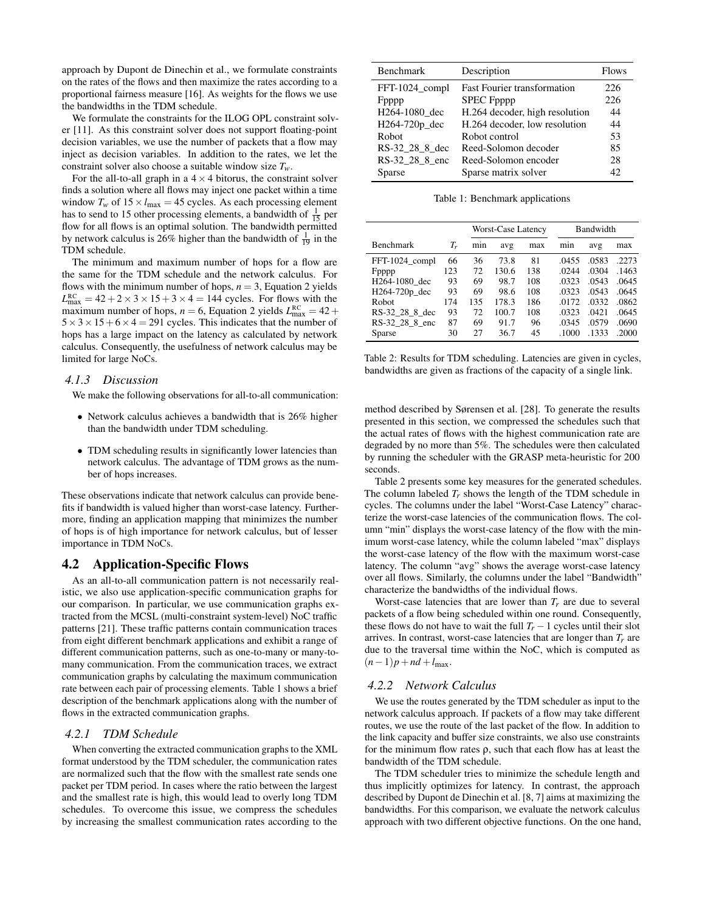approach by Dupont de Dinechin et al., we formulate constraints on the rates of the flows and then maximize the rates according to a proportional fairness measure [16]. As weights for the flows we use the bandwidths in the TDM schedule.

We formulate the constraints for the ILOG OPL constraint solver [11]. As this constraint solver does not support floating-point decision variables, we use the number of packets that a flow may inject as decision variables. In addition to the rates, we let the constraint solver also choose a suitable window size *Tw*.

For the all-to-all graph in a  $4 \times 4$  bitorus, the constraint solver finds a solution where all flows may inject one packet within a time window  $T_w$  of  $15 \times l_{\text{max}} = 45$  cycles. As each processing element has to send to 15 other processing elements, a bandwidth of  $\frac{1}{15}$  per flow for all flows is an optimal solution. The bandwidth permitted by network calculus is 26% higher than the bandwidth of  $\frac{1}{19}$  in the TDM schedule.

The minimum and maximum number of hops for a flow are the same for the TDM schedule and the network calculus. For flows with the minimum number of hops,  $n = 3$ , Equation 2 yields  $L_{\text{max}}^{\text{RC}} = 42 + 2 \times 3 \times 15 + 3 \times 4 = 144$  cycles. For flows with the maximum number of hops,  $n = 6$ , Equation 2 yields  $L_{\text{max}}^{\text{RC}} = 42 +$  $5 \times 3 \times 15 + 6 \times 4 = 291$  cycles. This indicates that the number of hops has a large impact on the latency as calculated by network calculus. Consequently, the usefulness of network calculus may be limited for large NoCs.

#### *4.1.3 Discussion*

We make the following observations for all-to-all communication:

- Network calculus achieves a bandwidth that is 26% higher than the bandwidth under TDM scheduling.
- TDM scheduling results in significantly lower latencies than network calculus. The advantage of TDM grows as the number of hops increases.

These observations indicate that network calculus can provide benefits if bandwidth is valued higher than worst-case latency. Furthermore, finding an application mapping that minimizes the number of hops is of high importance for network calculus, but of lesser importance in TDM NoCs.

## 4.2 Application-Specific Flows

As an all-to-all communication pattern is not necessarily realistic, we also use application-specific communication graphs for our comparison. In particular, we use communication graphs extracted from the MCSL (multi-constraint system-level) NoC traffic patterns [21]. These traffic patterns contain communication traces from eight different benchmark applications and exhibit a range of different communication patterns, such as one-to-many or many-tomany communication. From the communication traces, we extract communication graphs by calculating the maximum communication rate between each pair of processing elements. Table 1 shows a brief description of the benchmark applications along with the number of flows in the extracted communication graphs.

#### *4.2.1 TDM Schedule*

When converting the extracted communication graphs to the XML format understood by the TDM scheduler, the communication rates are normalized such that the flow with the smallest rate sends one packet per TDM period. In cases where the ratio between the largest and the smallest rate is high, this would lead to overly long TDM schedules. To overcome this issue, we compress the schedules by increasing the smallest communication rates according to the

| Benchmark      | Description                        | <b>Flows</b> |
|----------------|------------------------------------|--------------|
| FFT-1024 compl | <b>Fast Fourier transformation</b> | 226          |
| Fpppp          | <b>SPEC</b> Fpppp                  | 226          |
| H264-1080_dec  | H.264 decoder, high resolution     | 44           |
| H264-720p_dec  | H.264 decoder, low resolution      | 44           |
| Robot          | Robot control                      | 53           |
| RS-32 28 8 dec | Reed-Solomon decoder               | 85           |
| RS-32 28 8 enc | Reed-Solomon encoder               | 28           |
| Sparse         | Sparse matrix solver               | 42           |

Table 1: Benchmark applications

|                  |       | <b>Worst-Case Latency</b> |       |     |       | Bandwidth |       |  |
|------------------|-------|---------------------------|-------|-----|-------|-----------|-------|--|
| <b>Benchmark</b> | $T_r$ | min                       | avg   | max | min   | avg       | max   |  |
| FFT-1024 compl   | 66    | 36                        | 73.8  | 81  | .0455 | .0583     | .2273 |  |
| Fpppp            | 123   | 72                        | 130.6 | 138 | .0244 | .0304     | .1463 |  |
| H264-1080 dec    | 93    | 69                        | 98.7  | 108 | .0323 | .0543     | .0645 |  |
| H264-720p dec    | 93    | 69                        | 98.6  | 108 | .0323 | .0543     | .0645 |  |
| Robot            | 174   | 135                       | 178.3 | 186 | .0172 | .0332     | .0862 |  |
| RS-32 28 8 dec   | 93    | 72                        | 100.7 | 108 | .0323 | .0421     | .0645 |  |
| RS-32 28 8 enc   | 87    | 69                        | 91.7  | 96  | .0345 | .0579     | .0690 |  |
| Sparse           | 30    | 27                        | 36.7  | 45  | .1000 | .1333     | .2000 |  |

Table 2: Results for TDM scheduling. Latencies are given in cycles, bandwidths are given as fractions of the capacity of a single link.

method described by Sørensen et al. [28]. To generate the results presented in this section, we compressed the schedules such that the actual rates of flows with the highest communication rate are degraded by no more than 5%. The schedules were then calculated by running the scheduler with the GRASP meta-heuristic for 200 seconds.

Table 2 presents some key measures for the generated schedules. The column labeled  $T_r$  shows the length of the TDM schedule in cycles. The columns under the label "Worst-Case Latency" characterize the worst-case latencies of the communication flows. The column "min" displays the worst-case latency of the flow with the minimum worst-case latency, while the column labeled "max" displays the worst-case latency of the flow with the maximum worst-case latency. The column "avg" shows the average worst-case latency over all flows. Similarly, the columns under the label "Bandwidth" characterize the bandwidths of the individual flows.

Worst-case latencies that are lower than  $T_r$  are due to several packets of a flow being scheduled within one round. Consequently, these flows do not have to wait the full  $T_r - 1$  cycles until their slot arrives. In contrast, worst-case latencies that are longer than  $T_r$  are due to the traversal time within the NoC, which is computed as  $(n-1)p + nd + l_{\text{max}}$ .

### *4.2.2 Network Calculus*

We use the routes generated by the TDM scheduler as input to the network calculus approach. If packets of a flow may take different routes, we use the route of the last packet of the flow. In addition to the link capacity and buffer size constraints, we also use constraints for the minimum flow rates  $\rho$ , such that each flow has at least the bandwidth of the TDM schedule.

The TDM scheduler tries to minimize the schedule length and thus implicitly optimizes for latency. In contrast, the approach described by Dupont de Dinechin et al. [8, 7] aims at maximizing the bandwidths. For this comparison, we evaluate the network calculus approach with two different objective functions. On the one hand,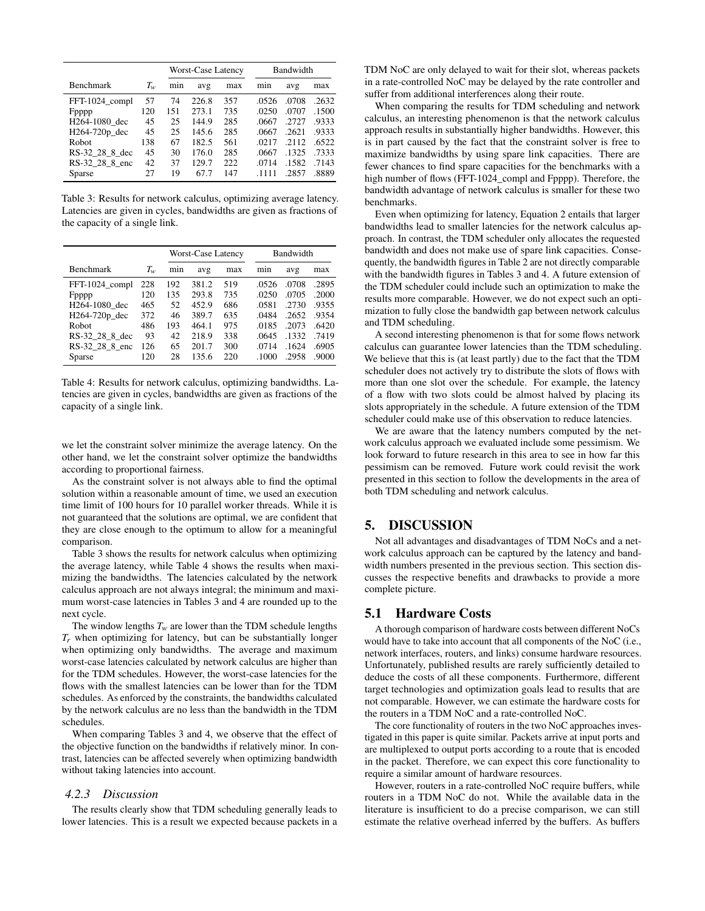|                  |       | Worst-Case Latency |       |     | Bandwidth |       |       |
|------------------|-------|--------------------|-------|-----|-----------|-------|-------|
| <b>Benchmark</b> | $T_w$ | min                | avg   | max | min       | avg   | max   |
| FFT-1024 compl   | 57    | 74                 | 226.8 | 357 | .0526     | .0708 | .2632 |
| Fpppp            | 120   | 151                | 273.1 | 735 | .0250     | .0707 | .1500 |
| H264-1080 dec    | 45    | 25                 | 144.9 | 285 | .0667     | .2727 | .9333 |
| H264-720p_dec    | 45    | 25                 | 145.6 | 285 | .0667     | .2621 | .9333 |
| <b>Robot</b>     | 138   | 67                 | 182.5 | 561 | .0217     | .2112 | .6522 |
| RS-32 28 8 dec   | 45    | 30                 | 176.0 | 285 | .0667     | .1325 | .7333 |
| RS-32 28 8 enc   | 42    | 37                 | 129.7 | 222 | .0714     | .1582 | .7143 |
| Sparse           | 27    | 19                 | 67.7  | 147 | .1111     | .2857 | .8889 |

Table 3: Results for network calculus, optimizing average latency. Latencies are given in cycles, bandwidths are given as fractions of the capacity of a single link.

|                  |       | Worst-Case Latency |       |     | Bandwidth |       |       |
|------------------|-------|--------------------|-------|-----|-----------|-------|-------|
| <b>Benchmark</b> | $T_w$ | min                | avg   | max | min       | avg   | max   |
| FFT-1024 compl   | 228   | 192                | 381.2 | 519 | .0526     | .0708 | .2895 |
| Fpppp            | 120   | 135                | 293.8 | 735 | .0250     | .0705 | .2000 |
| H264-1080 dec    | 465   | 52                 | 452.9 | 686 | .0581     | .2730 | .9355 |
| H264-720p_dec    | 372   | 46                 | 389.7 | 635 | .0484     | .2652 | .9354 |
| Robot            | 486   | 193                | 464.1 | 975 | .0185     | .2073 | .6420 |
| RS-32 28 8 dec   | 93    | 42                 | 218.9 | 338 | .0645     | .1332 | .7419 |
| RS-32 28 8 enc   | 126   | 65                 | 201.7 | 300 | .0714     | .1624 | .6905 |
| Sparse           | 120   | 28                 | 135.6 | 220 | .1000     | .2958 | .9000 |

Table 4: Results for network calculus, optimizing bandwidths. Latencies are given in cycles, bandwidths are given as fractions of the capacity of a single link.

we let the constraint solver minimize the average latency. On the other hand, we let the constraint solver optimize the bandwidths according to proportional fairness.

As the constraint solver is not always able to find the optimal solution within a reasonable amount of time, we used an execution time limit of 100 hours for 10 parallel worker threads. While it is not guaranteed that the solutions are optimal, we are confident that they are close enough to the optimum to allow for a meaningful comparison.

Table 3 shows the results for network calculus when optimizing the average latency, while Table 4 shows the results when maximizing the bandwidths. The latencies calculated by the network calculus approach are not always integral; the minimum and maximum worst-case latencies in Tables 3 and 4 are rounded up to the next cycle.

The window lengths  $T_w$  are lower than the TDM schedule lengths  $T_r$  when optimizing for latency, but can be substantially longer when optimizing only bandwidths. The average and maximum worst-case latencies calculated by network calculus are higher than for the TDM schedules. However, the worst-case latencies for the flows with the smallest latencies can be lower than for the TDM schedules. As enforced by the constraints, the bandwidths calculated by the network calculus are no less than the bandwidth in the TDM schedules.

When comparing Tables 3 and 4, we observe that the effect of the objective function on the bandwidths if relatively minor. In contrast, latencies can be affected severely when optimizing bandwidth without taking latencies into account.

## *4.2.3 Discussion*

The results clearly show that TDM scheduling generally leads to lower latencies. This is a result we expected because packets in a TDM NoC are only delayed to wait for their slot, whereas packets in a rate-controlled NoC may be delayed by the rate controller and suffer from additional interferences along their route.

When comparing the results for TDM scheduling and network calculus, an interesting phenomenon is that the network calculus approach results in substantially higher bandwidths. However, this is in part caused by the fact that the constraint solver is free to maximize bandwidths by using spare link capacities. There are fewer chances to find spare capacities for the benchmarks with a high number of flows (FFT-1024\_compl and Fpppp). Therefore, the bandwidth advantage of network calculus is smaller for these two benchmarks.

Even when optimizing for latency, Equation 2 entails that larger bandwidths lead to smaller latencies for the network calculus approach. In contrast, the TDM scheduler only allocates the requested bandwidth and does not make use of spare link capacities. Consequently, the bandwidth figures in Table 2 are not directly comparable with the bandwidth figures in Tables 3 and 4. A future extension of the TDM scheduler could include such an optimization to make the results more comparable. However, we do not expect such an optimization to fully close the bandwidth gap between network calculus and TDM scheduling.

A second interesting phenomenon is that for some flows network calculus can guarantee lower latencies than the TDM scheduling. We believe that this is (at least partly) due to the fact that the TDM scheduler does not actively try to distribute the slots of flows with more than one slot over the schedule. For example, the latency of a flow with two slots could be almost halved by placing its slots appropriately in the schedule. A future extension of the TDM scheduler could make use of this observation to reduce latencies.

We are aware that the latency numbers computed by the network calculus approach we evaluated include some pessimism. We look forward to future research in this area to see in how far this pessimism can be removed. Future work could revisit the work presented in this section to follow the developments in the area of both TDM scheduling and network calculus.

## 5. DISCUSSION

Not all advantages and disadvantages of TDM NoCs and a network calculus approach can be captured by the latency and bandwidth numbers presented in the previous section. This section discusses the respective benefits and drawbacks to provide a more complete picture.

## 5.1 Hardware Costs

A thorough comparison of hardware costs between different NoCs would have to take into account that all components of the NoC (i.e., network interfaces, routers, and links) consume hardware resources. Unfortunately, published results are rarely sufficiently detailed to deduce the costs of all these components. Furthermore, different target technologies and optimization goals lead to results that are not comparable. However, we can estimate the hardware costs for the routers in a TDM NoC and a rate-controlled NoC.

The core functionality of routers in the two NoC approaches investigated in this paper is quite similar. Packets arrive at input ports and are multiplexed to output ports according to a route that is encoded in the packet. Therefore, we can expect this core functionality to require a similar amount of hardware resources.

However, routers in a rate-controlled NoC require buffers, while routers in a TDM NoC do not. While the available data in the literature is insufficient to do a precise comparison, we can still estimate the relative overhead inferred by the buffers. As buffers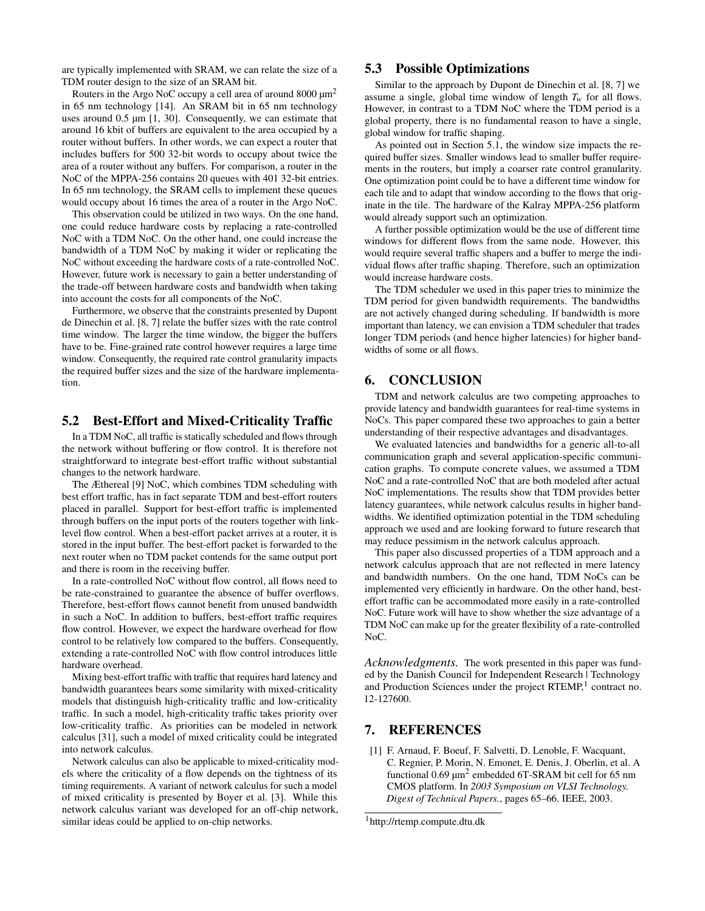are typically implemented with SRAM, we can relate the size of a TDM router design to the size of an SRAM bit.

Routers in the Argo NoC occupy a cell area of around  $8000 \mu m^2$ in 65 nm technology [14]. An SRAM bit in 65 nm technology uses around 0.5  $\mu$ m [1, 30]. Consequently, we can estimate that around 16 kbit of buffers are equivalent to the area occupied by a router without buffers. In other words, we can expect a router that includes buffers for 500 32-bit words to occupy about twice the area of a router without any buffers. For comparison, a router in the NoC of the MPPA-256 contains 20 queues with 401 32-bit entries. In 65 nm technology, the SRAM cells to implement these queues would occupy about 16 times the area of a router in the Argo NoC.

This observation could be utilized in two ways. On the one hand, one could reduce hardware costs by replacing a rate-controlled NoC with a TDM NoC. On the other hand, one could increase the bandwidth of a TDM NoC by making it wider or replicating the NoC without exceeding the hardware costs of a rate-controlled NoC. However, future work is necessary to gain a better understanding of the trade-off between hardware costs and bandwidth when taking into account the costs for all components of the NoC.

Furthermore, we observe that the constraints presented by Dupont de Dinechin et al. [8, 7] relate the buffer sizes with the rate control time window. The larger the time window, the bigger the buffers have to be. Fine-grained rate control however requires a large time window. Consequently, the required rate control granularity impacts the required buffer sizes and the size of the hardware implementation.

## 5.2 Best-Effort and Mixed-Criticality Traffic

In a TDM NoC, all traffic is statically scheduled and flows through the network without buffering or flow control. It is therefore not straightforward to integrate best-effort traffic without substantial changes to the network hardware.

The Æthereal [9] NoC, which combines TDM scheduling with best effort traffic, has in fact separate TDM and best-effort routers placed in parallel. Support for best-effort traffic is implemented through buffers on the input ports of the routers together with linklevel flow control. When a best-effort packet arrives at a router, it is stored in the input buffer. The best-effort packet is forwarded to the next router when no TDM packet contends for the same output port and there is room in the receiving buffer.

In a rate-controlled NoC without flow control, all flows need to be rate-constrained to guarantee the absence of buffer overflows. Therefore, best-effort flows cannot benefit from unused bandwidth in such a NoC. In addition to buffers, best-effort traffic requires flow control. However, we expect the hardware overhead for flow control to be relatively low compared to the buffers. Consequently, extending a rate-controlled NoC with flow control introduces little hardware overhead.

Mixing best-effort traffic with traffic that requires hard latency and bandwidth guarantees bears some similarity with mixed-criticality models that distinguish high-criticality traffic and low-criticality traffic. In such a model, high-criticality traffic takes priority over low-criticality traffic. As priorities can be modeled in network calculus [31], such a model of mixed criticality could be integrated into network calculus.

Network calculus can also be applicable to mixed-criticality models where the criticality of a flow depends on the tightness of its timing requirements. A variant of network calculus for such a model of mixed criticality is presented by Boyer et al. [3]. While this network calculus variant was developed for an off-chip network, similar ideas could be applied to on-chip networks.

## 5.3 Possible Optimizations

Similar to the approach by Dupont de Dinechin et al. [8, 7] we assume a single, global time window of length  $T_w$  for all flows. However, in contrast to a TDM NoC where the TDM period is a global property, there is no fundamental reason to have a single, global window for traffic shaping.

As pointed out in Section 5.1, the window size impacts the required buffer sizes. Smaller windows lead to smaller buffer requirements in the routers, but imply a coarser rate control granularity. One optimization point could be to have a different time window for each tile and to adapt that window according to the flows that originate in the tile. The hardware of the Kalray MPPA-256 platform would already support such an optimization.

A further possible optimization would be the use of different time windows for different flows from the same node. However, this would require several traffic shapers and a buffer to merge the individual flows after traffic shaping. Therefore, such an optimization would increase hardware costs.

The TDM scheduler we used in this paper tries to minimize the TDM period for given bandwidth requirements. The bandwidths are not actively changed during scheduling. If bandwidth is more important than latency, we can envision a TDM scheduler that trades longer TDM periods (and hence higher latencies) for higher bandwidths of some or all flows.

# 6. CONCLUSION

TDM and network calculus are two competing approaches to provide latency and bandwidth guarantees for real-time systems in NoCs. This paper compared these two approaches to gain a better understanding of their respective advantages and disadvantages.

We evaluated latencies and bandwidths for a generic all-to-all communication graph and several application-specific communication graphs. To compute concrete values, we assumed a TDM NoC and a rate-controlled NoC that are both modeled after actual NoC implementations. The results show that TDM provides better latency guarantees, while network calculus results in higher bandwidths. We identified optimization potential in the TDM scheduling approach we used and are looking forward to future research that may reduce pessimism in the network calculus approach.

This paper also discussed properties of a TDM approach and a network calculus approach that are not reflected in mere latency and bandwidth numbers. On the one hand, TDM NoCs can be implemented very efficiently in hardware. On the other hand, besteffort traffic can be accommodated more easily in a rate-controlled NoC. Future work will have to show whether the size advantage of a TDM NoC can make up for the greater flexibility of a rate-controlled NoC.

*Acknowledgments.* The work presented in this paper was funded by the Danish Council for Independent Research | Technology and Production Sciences under the project RTEMP,<sup>1</sup> contract no. 12-127600.

# 7. REFERENCES

[1] F. Arnaud, F. Boeuf, F. Salvetti, D. Lenoble, F. Wacquant, C. Regnier, P. Morin, N. Emonet, E. Denis, J. Oberlin, et al. A functional 0.69  $\mu$ m<sup>2</sup> embedded 6T-SRAM bit cell for 65 nm CMOS platform. In *2003 Symposium on VLSI Technology. Digest of Technical Papers.*, pages 65–66. IEEE, 2003.

<sup>1</sup>http://rtemp.compute.dtu.dk